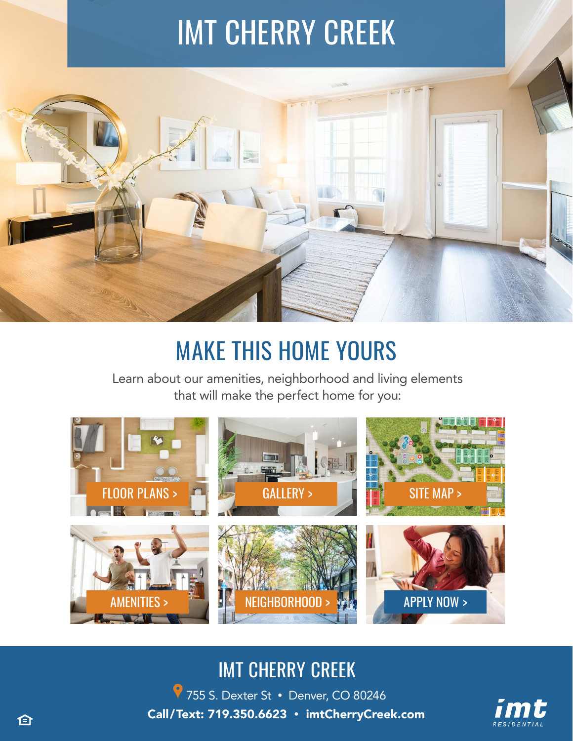# IMT CHERRY CREEK



## MAKE THIS HOME YOURS

Learn about our amenities, neighborhood and living elements that will make the perfect home for you:



### IMT CHERRY CREEK

755 S. Dexter St • [Denver, CO 80246](https://g.page/imtCherryCreek?share) Call/Text: 719.350.6623 [• imtCherryCreek.com](https://imtresidential.com/properties/imt-cherry-creek?utm_source=website&utm_medium=ebrochure)